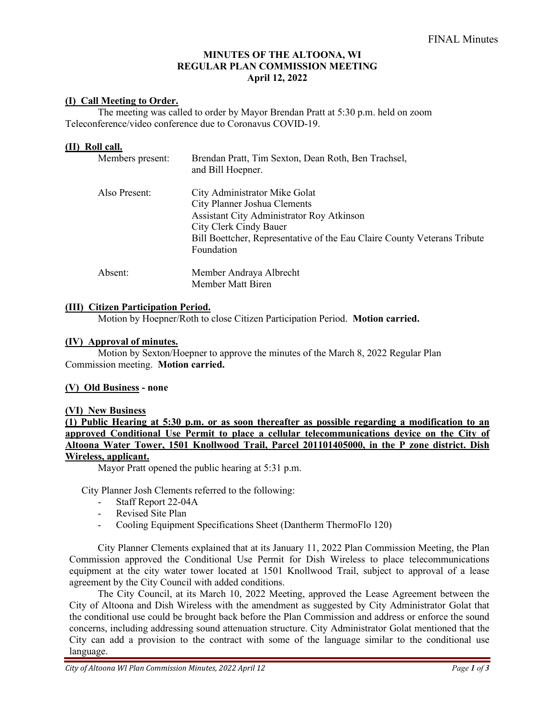## **MINUTES OF THE ALTOONA, WI REGULAR PLAN COMMISSION MEETING April 12, 2022**

## **(I) Call Meeting to Order.**

The meeting was called to order by Mayor Brendan Pratt at 5:30 p.m. held on zoom Teleconference/video conference due to Coronavus COVID-19.

#### **(II) Roll call.**

| Members present: | Brendan Pratt, Tim Sexton, Dean Roth, Ben Trachsel,<br>and Bill Hoepner.                                                                                                                                                       |
|------------------|--------------------------------------------------------------------------------------------------------------------------------------------------------------------------------------------------------------------------------|
| Also Present:    | City Administrator Mike Golat<br>City Planner Joshua Clements<br>Assistant City Administrator Roy Atkinson<br>City Clerk Cindy Bauer<br>Bill Boettcher, Representative of the Eau Claire County Veterans Tribute<br>Foundation |
| Absent:          | Member Andraya Albrecht<br>Member Matt Biren                                                                                                                                                                                   |

#### **(III) Citizen Participation Period.**

Motion by Hoepner/Roth to close Citizen Participation Period. **Motion carried.**

#### **(IV) Approval of minutes.**

Motion by Sexton/Hoepner to approve the minutes of the March 8, 2022 Regular Plan Commission meeting. **Motion carried.**

#### **(V) Old Business - none**

#### **(VI) New Business**

**(1) Public Hearing at 5:30 p.m. or as soon thereafter as possible regarding a modification to an approved Conditional Use Permit to place a cellular telecommunications device on the City of Altoona Water Tower, 1501 Knollwood Trail, Parcel 201101405000, in the P zone district. Dish Wireless, applicant.** 

Mayor Pratt opened the public hearing at 5:31 p.m.

City Planner Josh Clements referred to the following:

- Staff Report 22-04A
- Revised Site Plan
- Cooling Equipment Specifications Sheet (Dantherm ThermoFlo 120)

City Planner Clements explained that at its January 11, 2022 Plan Commission Meeting, the Plan Commission approved the Conditional Use Permit for Dish Wireless to place telecommunications equipment at the city water tower located at 1501 Knollwood Trail, subject to approval of a lease agreement by the City Council with added conditions.

The City Council, at its March 10, 2022 Meeting, approved the Lease Agreement between the City of Altoona and Dish Wireless with the amendment as suggested by City Administrator Golat that the conditional use could be brought back before the Plan Commission and address or enforce the sound concerns, including addressing sound attenuation structure. City Administrator Golat mentioned that the City can add a provision to the contract with some of the language similar to the conditional use language.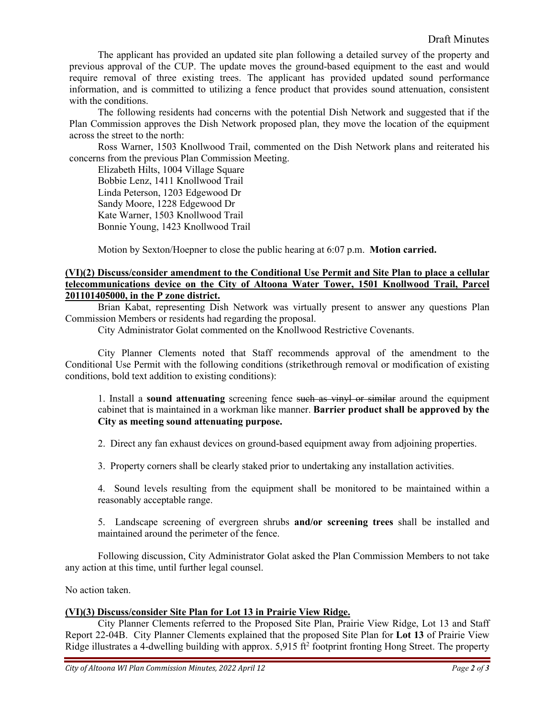The applicant has provided an updated site plan following a detailed survey of the property and previous approval of the CUP. The update moves the ground-based equipment to the east and would require removal of three existing trees. The applicant has provided updated sound performance information, and is committed to utilizing a fence product that provides sound attenuation, consistent with the conditions.

The following residents had concerns with the potential Dish Network and suggested that if the Plan Commission approves the Dish Network proposed plan, they move the location of the equipment across the street to the north:

Ross Warner, 1503 Knollwood Trail, commented on the Dish Network plans and reiterated his concerns from the previous Plan Commission Meeting.

Elizabeth Hilts, 1004 Village Square Bobbie Lenz, 1411 Knollwood Trail Linda Peterson, 1203 Edgewood Dr Sandy Moore, 1228 Edgewood Dr Kate Warner, 1503 Knollwood Trail Bonnie Young, 1423 Knollwood Trail

Motion by Sexton/Hoepner to close the public hearing at 6:07 p.m. **Motion carried.**

## **(VI)(2) Discuss/consider amendment to the Conditional Use Permit and Site Plan to place a cellular telecommunications device on the City of Altoona Water Tower, 1501 Knollwood Trail, Parcel 201101405000, in the P zone district.**

Brian Kabat, representing Dish Network was virtually present to answer any questions Plan Commission Members or residents had regarding the proposal.

City Administrator Golat commented on the Knollwood Restrictive Covenants.

City Planner Clements noted that Staff recommends approval of the amendment to the Conditional Use Permit with the following conditions (strikethrough removal or modification of existing conditions, bold text addition to existing conditions):

1. Install a **sound attenuating** screening fence such as vinyl or similar around the equipment cabinet that is maintained in a workman like manner. **Barrier product shall be approved by the City as meeting sound attenuating purpose.**

2. Direct any fan exhaust devices on ground-based equipment away from adjoining properties.

3. Property corners shall be clearly staked prior to undertaking any installation activities.

4. Sound levels resulting from the equipment shall be monitored to be maintained within a reasonably acceptable range.

5. Landscape screening of evergreen shrubs **and/or screening trees** shall be installed and maintained around the perimeter of the fence.

Following discussion, City Administrator Golat asked the Plan Commission Members to not take any action at this time, until further legal counsel.

No action taken.

## **(VI)(3) Discuss/consider Site Plan for Lot 13 in Prairie View Ridge.**

City Planner Clements referred to the Proposed Site Plan, Prairie View Ridge, Lot 13 and Staff Report 22-04B. City Planner Clements explained that the proposed Site Plan for **Lot 13** of Prairie View Ridge illustrates a 4-dwelling building with approx.  $5.915 \text{ ft}^2$  footprint fronting Hong Street. The property